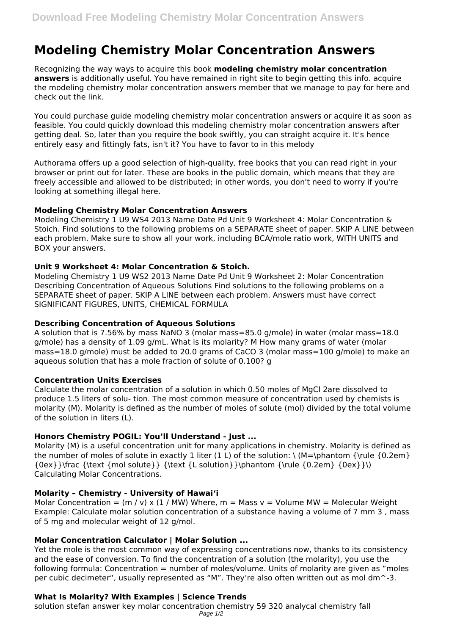# **Modeling Chemistry Molar Concentration Answers**

Recognizing the way ways to acquire this book **modeling chemistry molar concentration answers** is additionally useful. You have remained in right site to begin getting this info. acquire the modeling chemistry molar concentration answers member that we manage to pay for here and check out the link.

You could purchase guide modeling chemistry molar concentration answers or acquire it as soon as feasible. You could quickly download this modeling chemistry molar concentration answers after getting deal. So, later than you require the book swiftly, you can straight acquire it. It's hence entirely easy and fittingly fats, isn't it? You have to favor to in this melody

Authorama offers up a good selection of high-quality, free books that you can read right in your browser or print out for later. These are books in the public domain, which means that they are freely accessible and allowed to be distributed; in other words, you don't need to worry if you're looking at something illegal here.

# **Modeling Chemistry Molar Concentration Answers**

Modeling Chemistry 1 U9 WS4 2013 Name Date Pd Unit 9 Worksheet 4: Molar Concentration & Stoich. Find solutions to the following problems on a SEPARATE sheet of paper. SKIP A LINE between each problem. Make sure to show all your work, including BCA/mole ratio work, WITH UNITS and BOX your answers.

# **Unit 9 Worksheet 4: Molar Concentration & Stoich.**

Modeling Chemistry 1 U9 WS2 2013 Name Date Pd Unit 9 Worksheet 2: Molar Concentration Describing Concentration of Aqueous Solutions Find solutions to the following problems on a SEPARATE sheet of paper. SKIP A LINE between each problem. Answers must have correct SIGNIFICANT FIGURES, UNITS, CHEMICAL FORMULA

# **Describing Concentration of Aqueous Solutions**

A solution that is 7.56% by mass NaNO 3 (molar mass=85.0 g/mole) in water (molar mass=18.0 g/mole) has a density of 1.09 g/mL. What is its molarity? M How many grams of water (molar mass=18.0 g/mole) must be added to 20.0 grams of CaCO 3 (molar mass=100 g/mole) to make an aqueous solution that has a mole fraction of solute of 0.100? g

# **Concentration Units Exercises**

Calculate the molar concentration of a solution in which 0.50 moles of MgCl 2are dissolved to produce 1.5 liters of solu- tion. The most common measure of concentration used by chemists is molarity (M). Molarity is defined as the number of moles of solute (mol) divided by the total volume of the solution in liters (L).

# **Honors Chemistry POGIL: You'll Understand - Just ...**

Molarity (M) is a useful concentration unit for many applications in chemistry. Molarity is defined as the number of moles of solute in exactly 1 liter (1 L) of the solution:  $\ (M=\phi)$  (\rule {0.2em}  ${0ex}$ }\frac {\text {mol solute}} {\text {L solution}}\phantom {\rule {0.2em} {0ex}}\) Calculating Molar Concentrations.

# **Molarity – Chemistry - University of Hawaiʻi**

Molar Concentration =  $(m / v)$  x  $(1 / MW)$  Where, m = Mass v = Volume MW = Molecular Weight Example: Calculate molar solution concentration of a substance having a volume of 7 mm 3 , mass of 5 mg and molecular weight of 12 g/mol.

# **Molar Concentration Calculator | Molar Solution ...**

Yet the mole is the most common way of expressing concentrations now, thanks to its consistency and the ease of conversion. To find the concentration of a solution (the molarity), you use the following formula: Concentration = number of moles/volume. Units of molarity are given as "moles per cubic decimeter", usually represented as "M". They're also often written out as mol dm^-3.

# **What Is Molarity? With Examples | Science Trends**

solution stefan answer key molar concentration chemistry 59 320 analycal chemistry fall Page 1/2